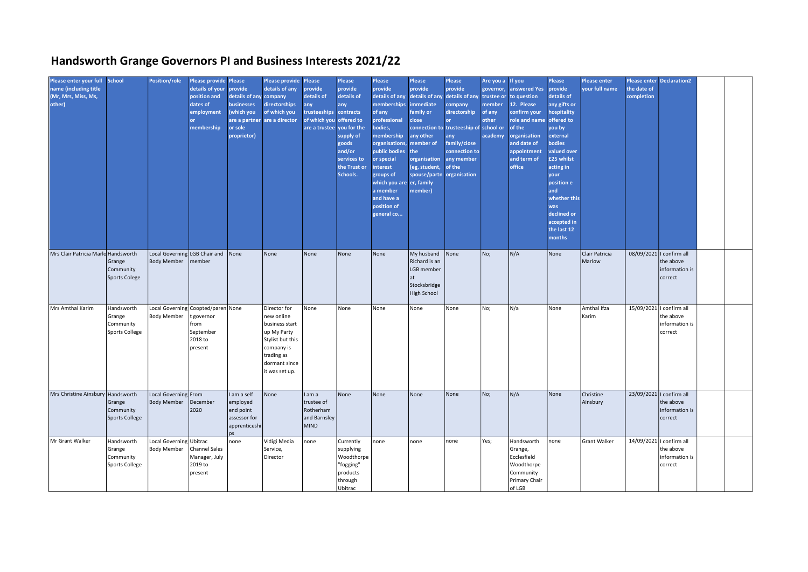## Handsworth Grange Governors PI and Business Interests 2021/22

| Please enter your full School<br>name (including title<br>(Mr, Mrs, Miss, Ms,<br>other) |                                                     | <b>Position/role</b>                                | <b>Please provide Please</b><br>details of your<br>position and<br>dates of<br>employment<br>membership | provide<br>details of any company<br><b>businesses</b><br>(which you<br>or sole<br>proprietor) | Please provide Please<br>details of any<br>directorships<br>of which you<br>are a partner are a director                                       | provide<br>details of<br>any<br>trusteeships contracts<br>of which you offered to<br>are a trustee you for the | Please<br>provide<br>details of<br>any<br>supply of<br>goods<br>and/or<br>services to<br>the Trust or<br>Schools. | Please<br>provide<br>details of any<br>memberships<br>of any<br>professional<br>bodies,<br>membership<br><b>organisations</b><br>public bodies<br>or special<br>interest<br>groups of<br>which you are er, family<br>a member<br>and have a<br>position of<br>general co | Please<br>provide<br>details of any<br><b>immediate</b><br>family or<br>close<br>any other<br>member of<br>the<br>organisation<br>(eg, student,<br>spouse/partn organisation<br>member) | <b>Please</b><br>provide<br>details of any trustee or<br>company<br>directorship<br>connection to trusteeship of school or<br>any<br>family/close<br>connection to<br>any member<br>of the | Are you a If you<br>governor,<br>member<br>of any<br>other<br>academy | answered Yes<br>to question<br>12. Please<br>confirm your<br>role and name offered to<br>of the<br>organisation<br>and date of<br>appointment<br>and term of<br>office | Please<br>provide<br>details of<br>any gifts or<br>hospitality<br>you by<br>external<br><b>bodies</b><br>valued over<br>£25 whilst<br>acting in<br>your<br>position e<br>and<br>whether this<br>was<br>declined or<br>accepted in<br>the last 12<br>months | <b>Please enter</b><br>your full name | the date of<br>completion | <b>Please enter Declaration2</b>                                   |  |
|-----------------------------------------------------------------------------------------|-----------------------------------------------------|-----------------------------------------------------|---------------------------------------------------------------------------------------------------------|------------------------------------------------------------------------------------------------|------------------------------------------------------------------------------------------------------------------------------------------------|----------------------------------------------------------------------------------------------------------------|-------------------------------------------------------------------------------------------------------------------|--------------------------------------------------------------------------------------------------------------------------------------------------------------------------------------------------------------------------------------------------------------------------|-----------------------------------------------------------------------------------------------------------------------------------------------------------------------------------------|--------------------------------------------------------------------------------------------------------------------------------------------------------------------------------------------|-----------------------------------------------------------------------|------------------------------------------------------------------------------------------------------------------------------------------------------------------------|------------------------------------------------------------------------------------------------------------------------------------------------------------------------------------------------------------------------------------------------------------|---------------------------------------|---------------------------|--------------------------------------------------------------------|--|
| Mrs Clair Patricia Marld Handsworth                                                     | Grange<br>Community<br>Sports Colege                | Local Governing LGB Chair and<br><b>Body Member</b> | member                                                                                                  | None                                                                                           | None                                                                                                                                           | None                                                                                                           | None                                                                                                              | None                                                                                                                                                                                                                                                                     | My husband None<br>Richard is an<br>LGB member<br>lat<br>Stocksbridge<br><b>High School</b>                                                                                             |                                                                                                                                                                                            | No;                                                                   | N/A                                                                                                                                                                    | None                                                                                                                                                                                                                                                       | Clair Patricia<br>Marlow              |                           | 08/09/2021   confirm all<br>the above<br>information is<br>correct |  |
| Mrs Amthal Karim                                                                        | Handsworth<br>Grange<br>Community<br>Sports College | <b>Body Member</b>                                  | Local Governing Coopted/paren None<br>t governor<br>from<br>September<br>2018 to<br>present             |                                                                                                | Director for<br>new online<br>business start<br>up My Party<br>Stylist but this<br>company is<br>trading as<br>dormant since<br>it was set up. | None                                                                                                           | None                                                                                                              | None                                                                                                                                                                                                                                                                     | None                                                                                                                                                                                    | None                                                                                                                                                                                       | No;                                                                   | N/a                                                                                                                                                                    | None                                                                                                                                                                                                                                                       | Amthal Ifza<br>Karim                  |                           | 15/09/2021   confirm all<br>the above<br>information is<br>correct |  |
| Mrs Christine Ainsbury Handsworth                                                       | Grange<br>Community<br>Sports College               | Local Governing From<br><b>Body Member</b>          | December<br>2020                                                                                        | I am a self<br>employed<br>end point<br>assessor for<br>apprenticeshi<br>ps                    | None                                                                                                                                           | I am a<br>trustee of<br>Rotherham<br>and Barnsley<br><b>MIND</b>                                               | None                                                                                                              | None                                                                                                                                                                                                                                                                     | None                                                                                                                                                                                    | None                                                                                                                                                                                       | No;                                                                   | N/A                                                                                                                                                                    | None                                                                                                                                                                                                                                                       | Christine<br>Ainsbury                 |                           | 23/09/2021   confirm all<br>the above<br>information is<br>correct |  |
| Mr Grant Walker                                                                         | Handsworth<br>Grange<br>Community<br>Sports College | Local Governing Ubitrac<br>Body Member              | <b>Channel Sales</b><br>Manager, July<br>2019 to<br>present                                             | none                                                                                           | Vidigi Media<br>Service,<br>Director                                                                                                           | none                                                                                                           | Currently<br>supplying<br>Woodthorpe<br>"fogging"<br>products<br>through<br>Ubitrac                               | none                                                                                                                                                                                                                                                                     | none                                                                                                                                                                                    | none                                                                                                                                                                                       | Yes;                                                                  | Handsworth<br>Grange,<br>Ecclesfield<br>Woodthorpe<br>Community<br>Primary Chair<br>of LGB                                                                             | none                                                                                                                                                                                                                                                       | <b>Grant Walker</b>                   |                           | 14/09/2021   confirm all<br>the above<br>information is<br>correct |  |